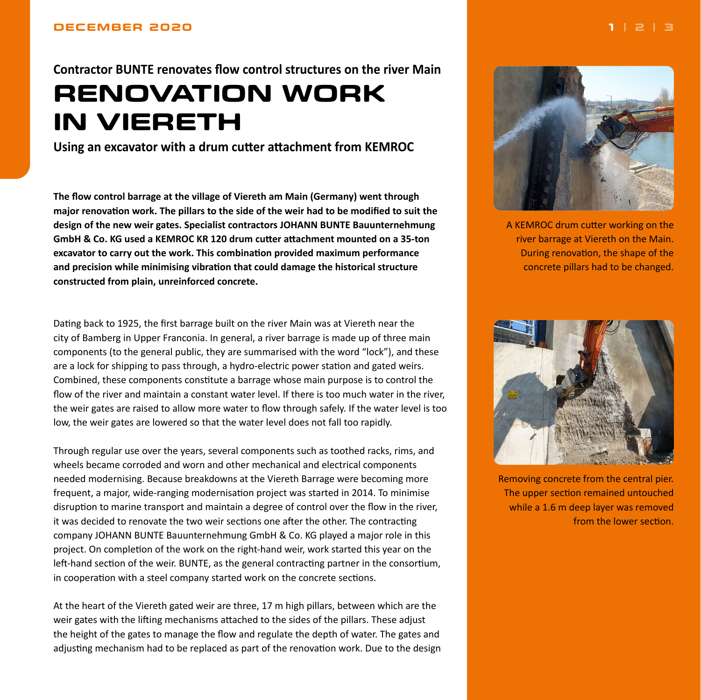<span id="page-0-0"></span>**Contractor BUNTE renovates flow control structures on the river Main**

# **RENOVATION WORK IN VIERETH**

**Using an excavator with a drum cutter attachment from KEMROC**

**The flow control barrage at the village of Viereth am Main (Germany) went through major renovation work. The pillars to the side of the weir had to be modified to suit the design of the new weir gates. Specialist contractors JOHANN BUNTE Bauunternehmung GmbH & Co. KG used a KEMROC KR 120 drum cutter attachment mounted on a 35-ton excavator to carry out the work. This combination provided maximum performance and precision while minimising vibration that could damage the historical structure constructed from plain, unreinforced concrete.**

Dating back to 1925, the first barrage built on the river Main was at Viereth near the city of Bamberg in Upper Franconia. In general, a river barrage is made up of three main components (to the general public, they are summarised with the word "lock"), and these are a lock for shipping to pass through, a hydro-electric power station and gated weirs. Combined, these components constitute a barrage whose main purpose is to control the flow of the river and maintain a constant water level. If there is too much water in the river, the weir gates are raised to allow more water to flow through safely. If the water level is too low, the weir gates are lowered so that the water level does not fall too rapidly.

Through regular use over the years, several components such as toothed racks, rims, and wheels became corroded and worn and other mechanical and electrical components needed modernising. Because breakdowns at the Viereth Barrage were becoming more frequent, a major, wide-ranging modernisation project was started in 2014. To minimise disruption to marine transport and maintain a degree of control over the flow in the river, it was decided to renovate the two weir sections one after the other. The contracting company JOHANN BUNTE Bauunternehmung GmbH & Co. KG played a major role in this project. On completion of the work on the right-hand weir, work started this year on the left-hand section of the weir. BUNTE, as the general contracting partner in the consortium, in cooperation with a steel company started work on the concrete sections.

At the heart of the Viereth gated weir are three, 17 m high pillars, between which are the weir gates with the lifting mechanisms attached to the sides of the pillars. These adjust the height of the gates to manage the flow and regulate the depth of water. The gates and adjusting mechanism had to be replaced as part of the renovation work. Due to the design



A KEMROC drum cutter working on the river barrage at Viereth on the Main. During renovation, the shape of the concrete pillars had to be changed.



Removing concrete from the central pier. The upper section remained untouched while a 1.6 m deep layer was removed from the lower section.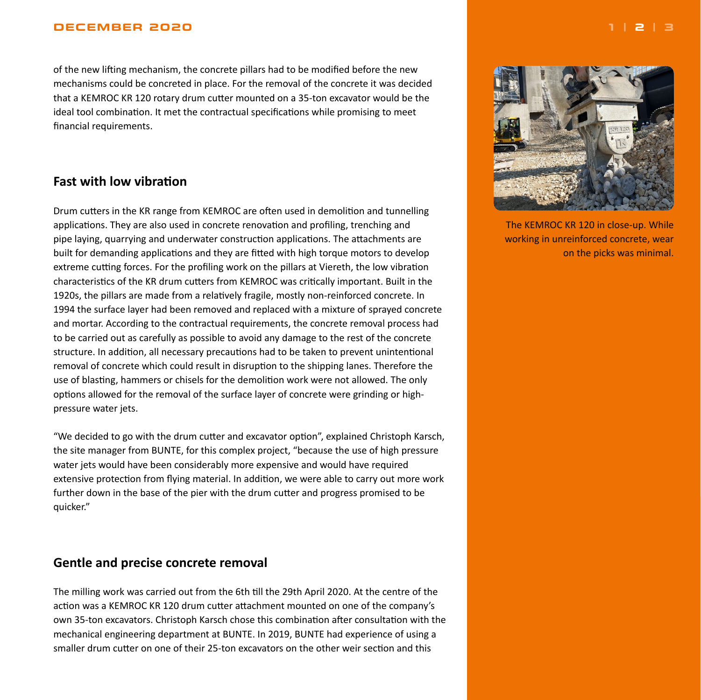### <span id="page-1-0"></span>**DECEMBER 2020 [1](#page-0-0) | 2 | [3](#page-2-0)**

of the new lifting mechanism, the concrete pillars had to be modified before the new mechanisms could be concreted in place. For the removal of the concrete it was decided that a KEMROC KR 120 rotary drum cutter mounted on a 35-ton excavator would be the ideal tool combination. It met the contractual specifications while promising to meet financial requirements.

# **Fast with low vibration**

Drum cutters in the KR range from KEMROC are often used in demolition and tunnelling applications. They are also used in concrete renovation and profiling, trenching and pipe laying, quarrying and underwater construction applications. The attachments are built for demanding applications and they are fitted with high torque motors to develop extreme cutting forces. For the profiling work on the pillars at Viereth, the low vibration characteristics of the KR drum cutters from KEMROC was critically important. Built in the 1920s, the pillars are made from a relatively fragile, mostly non-reinforced concrete. In 1994 the surface layer had been removed and replaced with a mixture of sprayed concrete and mortar. According to the contractual requirements, the concrete removal process had to be carried out as carefully as possible to avoid any damage to the rest of the concrete structure. In addition, all necessary precautions had to be taken to prevent unintentional removal of concrete which could result in disruption to the shipping lanes. Therefore the use of blasting, hammers or chisels for the demolition work were not allowed. The only options allowed for the removal of the surface layer of concrete were grinding or highpressure water jets.

"We decided to go with the drum cutter and excavator option", explained Christoph Karsch, the site manager from BUNTE, for this complex project, "because the use of high pressure water jets would have been considerably more expensive and would have required extensive protection from flying material. In addition, we were able to carry out more work further down in the base of the pier with the drum cutter and progress promised to be quicker."

## **Gentle and precise concrete removal**

The milling work was carried out from the 6th till the 29th April 2020. At the centre of the action was a KEMROC KR 120 drum cutter attachment mounted on one of the company's own 35-ton excavators. Christoph Karsch chose this combination after consultation with the mechanical engineering department at BUNTE. In 2019, BUNTE had experience of using a smaller drum cutter on one of their 25-ton excavators on the other weir section and this



The KEMROC KR 120 in close-up. While working in unreinforced concrete, wear on the picks was minimal.